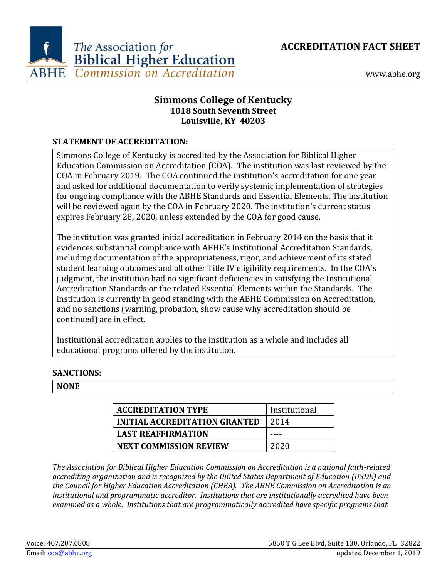**ACCREDITATION FACT SHEET**



www.abhe.org

# **Simmons College of Kentucky 1018 South Seventh Street Louisville, KY 40203**

### **STATEMENT OF ACCREDITATION:**

Simmons College of Kentucky is accredited by the Association for Biblical Higher Education Commission on Accreditation (COA). The institution was last reviewed by the COA in February 2019. The COA continued the institution's accreditation for one year and asked for additional documentation to verify systemic implementation of strategies for ongoing compliance with the ABHE Standards and Essential Elements. The institution will be reviewed again by the COA in February 2020. The institution's current status expires February 28, 2020, unless extended by the COA for good cause.

The institution was granted initial accreditation in February 2014 on the basis that it evidences substantial compliance with ABHE's Institutional Accreditation Standards, including documentation of the appropriateness, rigor, and achievement of its stated student learning outcomes and all other Title IV eligibility requirements. In the COA's judgment, the institution had no significant deficiencies in satisfying the Institutional Accreditation Standards or the related Essential Elements within the Standards. The institution is currently in good standing with the ABHE Commission on Accreditation, and no sanctions (warning, probation, show cause why accreditation should be continued) are in effect.

Institutional accreditation applies to the institution as a whole and includes all educational programs offered by the institution.

### **SANCTIONS:**

#### **NONE**

| <b>ACCREDITATION TYPE</b>            | Institutional |
|--------------------------------------|---------------|
| <b>INITIAL ACCREDITATION GRANTED</b> | 2014          |
| <b>LAST REAFFIRMATION</b>            |               |
| <b>NEXT COMMISSION REVIEW</b>        | 2020          |

*The Association for Biblical Higher Education Commission on Accreditation is a national faith-related accrediting organization and is recognized by the United States Department of Education (USDE) and the Council for Higher Education Accreditation (CHEA). The ABHE Commission on Accreditation is an institutional and programmatic accreditor. Institutions that are institutionally accredited have been examined as a whole. Institutions that are programmatically accredited have specific programs that*